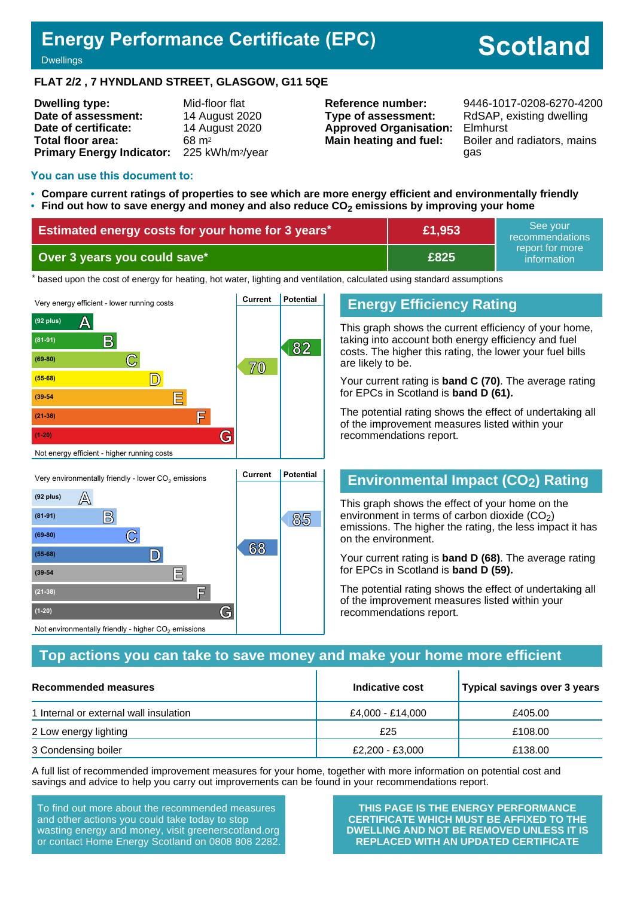# **Energy Performance Certificate (EPC)**

# **Scotland**

**Dwellings** 

### **FLAT 2/2 , 7 HYNDLAND STREET, GLASGOW, G11 5QE**

| <b>Dwelling type:</b>            | Mid-floor flat               |
|----------------------------------|------------------------------|
| Date of assessment:              | 14 August 2020               |
| Date of certificate:             | 14 August 2020               |
| Total floor area:                | 68 m <sup>2</sup>            |
| <b>Primary Energy Indicator:</b> | 225 kWh/m <sup>2</sup> /year |

**Type of assessment:** RdSAP, existing dwelling **Approved Organisation:** Elmhurst

**Reference number:** 9446-1017-0208-6270-4200 **Main heating and fuel:** Boiler and radiators, mains gas

#### **You can use this document to:**

- **Compare current ratings of properties to see which are more energy efficient and environmentally friendly**
- **Find out how to save energy and money and also reduce CO2 emissions by improving your home**

| <b>Estimated energy costs for your home for 3 years*</b> | £1,953 | See vour<br>recommendations    |
|----------------------------------------------------------|--------|--------------------------------|
| Over 3 years you could save*                             | £825   | report for more<br>information |

the based upon the cost of energy for heating, hot water, lighting and ventilation, calculated using standard assumptions



# **Energy Efficiency Rating**

This graph shows the current efficiency of your home, taking into account both energy efficiency and fuel costs. The higher this rating, the lower your fuel bills are likely to be.

Your current rating is **band C (70)**. The average rating for EPCs in Scotland is **band D (61).**

The potential rating shows the effect of undertaking all of the improvement measures listed within your recommendations report.

# **Environmental Impact (CO2) Rating**

This graph shows the effect of your home on the environment in terms of carbon dioxide  $(CO<sub>2</sub>)$ emissions. The higher the rating, the less impact it has on the environment.

Your current rating is **band D (68)**. The average rating for EPCs in Scotland is **band D (59).**

The potential rating shows the effect of undertaking all of the improvement measures listed within your recommendations report.

# **Top actions you can take to save money and make your home more efficient**

| Recommended measures                   | Indicative cost  | Typical savings over 3 years |
|----------------------------------------|------------------|------------------------------|
| 1 Internal or external wall insulation | £4,000 - £14,000 | £405.00                      |
| 2 Low energy lighting                  | £25              | £108.00                      |
| 3 Condensing boiler                    | £2,200 - £3,000  | £138.00                      |

A full list of recommended improvement measures for your home, together with more information on potential cost and savings and advice to help you carry out improvements can be found in your recommendations report.

To find out more about the recommended measures and other actions you could take today to stop wasting energy and money, visit greenerscotland.org or contact Home Energy Scotland on 0808 808 2282.

**(1-20) G**

Not environmentally friendly - higher  $\mathrm{CO}_2$  emissions

**THIS PAGE IS THE ENERGY PERFORMANCE CERTIFICATE WHICH MUST BE AFFIXED TO THE DWELLING AND NOT BE REMOVED UNLESS IT IS REPLACED WITH AN UPDATED CERTIFICATE**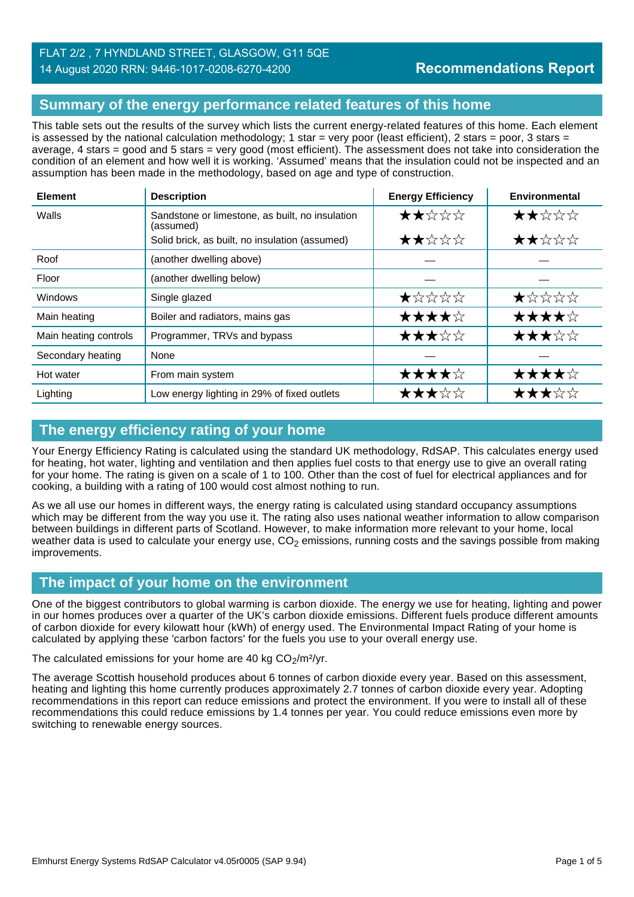# FLAT 2/2 , 7 HYNDLAND STREET, GLASGOW, G11 5QE 14 August 2020 RRN: 9446-1017-0208-6270-4200

# **Summary of the energy performance related features of this home**

This table sets out the results of the survey which lists the current energy-related features of this home. Each element is assessed by the national calculation methodology; 1 star = very poor (least efficient), 2 stars = poor, 3 stars = average, 4 stars = good and 5 stars = very good (most efficient). The assessment does not take into consideration the condition of an element and how well it is working. 'Assumed' means that the insulation could not be inspected and an assumption has been made in the methodology, based on age and type of construction.

| <b>Element</b>        | <b>Description</b>                                           | <b>Energy Efficiency</b> | Environmental |
|-----------------------|--------------------------------------------------------------|--------------------------|---------------|
| Walls                 | Sandstone or limestone, as built, no insulation<br>(assumed) | ★★☆☆☆                    | ★★☆☆☆         |
|                       | Solid brick, as built, no insulation (assumed)               | ★★☆☆☆                    | ★★☆☆☆         |
| Roof                  | (another dwelling above)                                     |                          |               |
| Floor                 | (another dwelling below)                                     |                          |               |
| Windows               | Single glazed                                                | ★☆☆☆☆                    | ★☆☆☆☆         |
| Main heating          | Boiler and radiators, mains gas                              | ★★★★☆                    | ★★★★☆         |
| Main heating controls | Programmer, TRVs and bypass                                  | ★★★☆☆                    | ★★★☆☆         |
| Secondary heating     | None                                                         |                          |               |
| Hot water             | From main system                                             | ★★★★☆                    | ★★★★☆         |
| Lighting              | Low energy lighting in 29% of fixed outlets                  | ★★★☆☆                    | ★★★☆☆         |

# **The energy efficiency rating of your home**

Your Energy Efficiency Rating is calculated using the standard UK methodology, RdSAP. This calculates energy used for heating, hot water, lighting and ventilation and then applies fuel costs to that energy use to give an overall rating for your home. The rating is given on a scale of 1 to 100. Other than the cost of fuel for electrical appliances and for cooking, a building with a rating of 100 would cost almost nothing to run.

As we all use our homes in different ways, the energy rating is calculated using standard occupancy assumptions which may be different from the way you use it. The rating also uses national weather information to allow comparison between buildings in different parts of Scotland. However, to make information more relevant to your home, local weather data is used to calculate your energy use,  $CO<sub>2</sub>$  emissions, running costs and the savings possible from making improvements.

# **The impact of your home on the environment**

One of the biggest contributors to global warming is carbon dioxide. The energy we use for heating, lighting and power in our homes produces over a quarter of the UK's carbon dioxide emissions. Different fuels produce different amounts of carbon dioxide for every kilowatt hour (kWh) of energy used. The Environmental Impact Rating of your home is calculated by applying these 'carbon factors' for the fuels you use to your overall energy use.

The calculated emissions for your home are 40 kg  $CO<sub>2</sub>/m<sup>2</sup>/yr$ .

The average Scottish household produces about 6 tonnes of carbon dioxide every year. Based on this assessment, heating and lighting this home currently produces approximately 2.7 tonnes of carbon dioxide every year. Adopting recommendations in this report can reduce emissions and protect the environment. If you were to install all of these recommendations this could reduce emissions by 1.4 tonnes per year. You could reduce emissions even more by switching to renewable energy sources.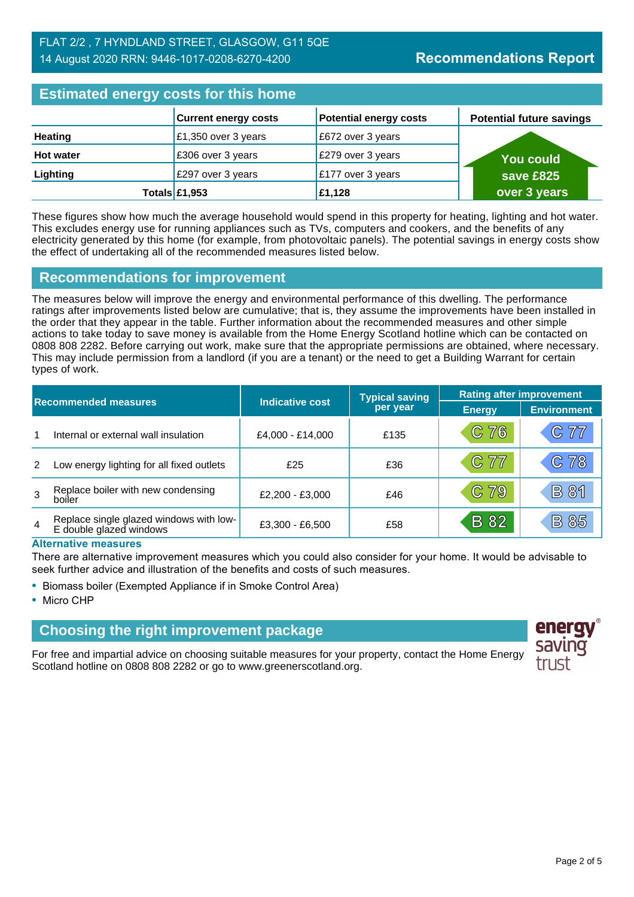# FLAT 2/2 , 7 HYNDLAND STREET, GLASGOW, G11 5QE 14 August 2020 RRN: 9446-1017-0208-6270-4200

#### **Estimated energy costs for this home Current energy costs Potential energy costs Heating E1,350 over 3 years E1,350 over 3 years E1 Hot water E306 over 3 years E279 over 3 years Lighting E297** over 3 years **E177** over 3 years **Totals £1,953 £1,128 You could save £825 over 3 years Potential future savings**

These figures show how much the average household would spend in this property for heating, lighting and hot water. This excludes energy use for running appliances such as TVs, computers and cookers, and the benefits of any electricity generated by this home (for example, from photovoltaic panels). The potential savings in energy costs show the effect of undertaking all of the recommended measures listed below.

# **Recommendations for improvement**

The measures below will improve the energy and environmental performance of this dwelling. The performance ratings after improvements listed below are cumulative; that is, they assume the improvements have been installed in the order that they appear in the table. Further information about the recommended measures and other simple actions to take today to save money is available from the Home Energy Scotland hotline which can be contacted on 0808 808 2282. Before carrying out work, make sure that the appropriate permissions are obtained, where necessary. This may include permission from a landlord (if you are a tenant) or the need to get a Building Warrant for certain types of work.

| <b>Recommended measures</b> |                                                                    |                        | <b>Typical saving</b> | <b>Rating after improvement</b> |                    |
|-----------------------------|--------------------------------------------------------------------|------------------------|-----------------------|---------------------------------|--------------------|
|                             |                                                                    | <b>Indicative cost</b> | per year              | <b>Energy</b>                   | <b>Environment</b> |
|                             | Internal or external wall insulation                               | £4,000 - £14,000       | £135                  | C 76                            | C77                |
| 2                           | Low energy lighting for all fixed outlets                          | £25                    | £36                   | C 77                            | C78                |
| 3                           | Replace boiler with new condensing<br>boiler                       | £2,200 - £3,000        | £46                   | C 79                            | <b>B</b> 81        |
| $\overline{4}$              | Replace single glazed windows with low-<br>E double glazed windows | £3,300 - £6,500        | £58                   | <b>B</b> 82                     | <b>B85</b>         |

### **Alternative measures**

There are alternative improvement measures which you could also consider for your home. It would be advisable to seek further advice and illustration of the benefits and costs of such measures.

- Biomass boiler (Exempted Appliance if in Smoke Control Area)
- Micro CHP

# **Choosing the right improvement package**

For free and impartial advice on choosing suitable measures for your property, contact the Home Energy Scotland hotline on 0808 808 2282 or go to www.greenerscotland.org.

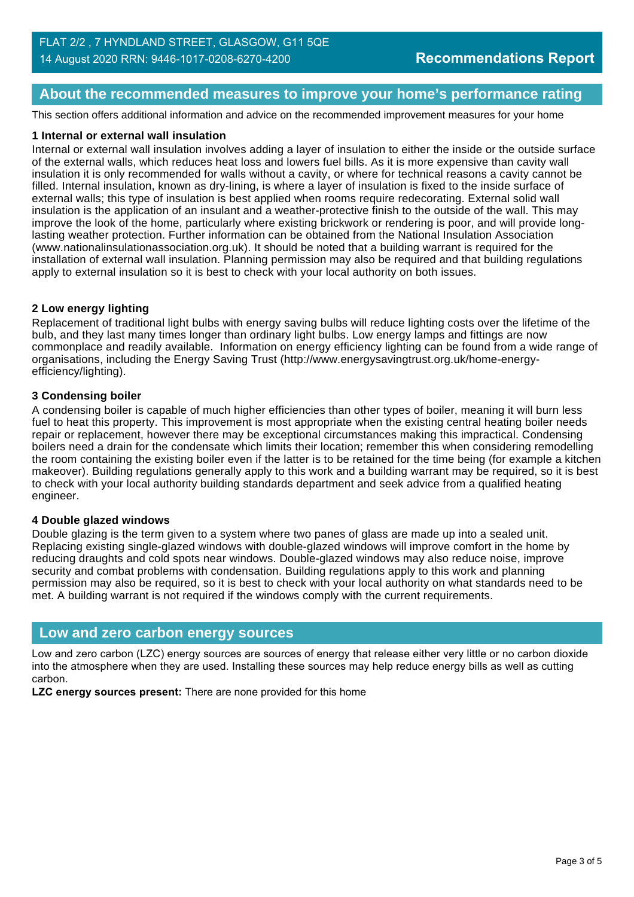# **About the recommended measures to improve your home's performance rating**

This section offers additional information and advice on the recommended improvement measures for your home

### **1 Internal or external wall insulation**

Internal or external wall insulation involves adding a layer of insulation to either the inside or the outside surface of the external walls, which reduces heat loss and lowers fuel bills. As it is more expensive than cavity wall insulation it is only recommended for walls without a cavity, or where for technical reasons a cavity cannot be filled. Internal insulation, known as dry-lining, is where a layer of insulation is fixed to the inside surface of external walls; this type of insulation is best applied when rooms require redecorating. External solid wall insulation is the application of an insulant and a weather-protective finish to the outside of the wall. This may improve the look of the home, particularly where existing brickwork or rendering is poor, and will provide longlasting weather protection. Further information can be obtained from the National Insulation Association (www.nationalinsulationassociation.org.uk). It should be noted that a building warrant is required for the installation of external wall insulation. Planning permission may also be required and that building regulations apply to external insulation so it is best to check with your local authority on both issues.

### **2 Low energy lighting**

Replacement of traditional light bulbs with energy saving bulbs will reduce lighting costs over the lifetime of the bulb, and they last many times longer than ordinary light bulbs. Low energy lamps and fittings are now commonplace and readily available. Information on energy efficiency lighting can be found from a wide range of organisations, including the Energy Saving Trust (http://www.energysavingtrust.org.uk/home-energyefficiency/lighting).

### **3 Condensing boiler**

A condensing boiler is capable of much higher efficiencies than other types of boiler, meaning it will burn less fuel to heat this property. This improvement is most appropriate when the existing central heating boiler needs repair or replacement, however there may be exceptional circumstances making this impractical. Condensing boilers need a drain for the condensate which limits their location; remember this when considering remodelling the room containing the existing boiler even if the latter is to be retained for the time being (for example a kitchen makeover). Building regulations generally apply to this work and a building warrant may be required, so it is best to check with your local authority building standards department and seek advice from a qualified heating engineer.

### **4 Double glazed windows**

Double glazing is the term given to a system where two panes of glass are made up into a sealed unit. Replacing existing single-glazed windows with double-glazed windows will improve comfort in the home by reducing draughts and cold spots near windows. Double-glazed windows may also reduce noise, improve security and combat problems with condensation. Building regulations apply to this work and planning permission may also be required, so it is best to check with your local authority on what standards need to be met. A building warrant is not required if the windows comply with the current requirements.

### **Low and zero carbon energy sources**

Low and zero carbon (LZC) energy sources are sources of energy that release either very little or no carbon dioxide into the atmosphere when they are used. Installing these sources may help reduce energy bills as well as cutting carbon.

**LZC energy sources present:** There are none provided for this home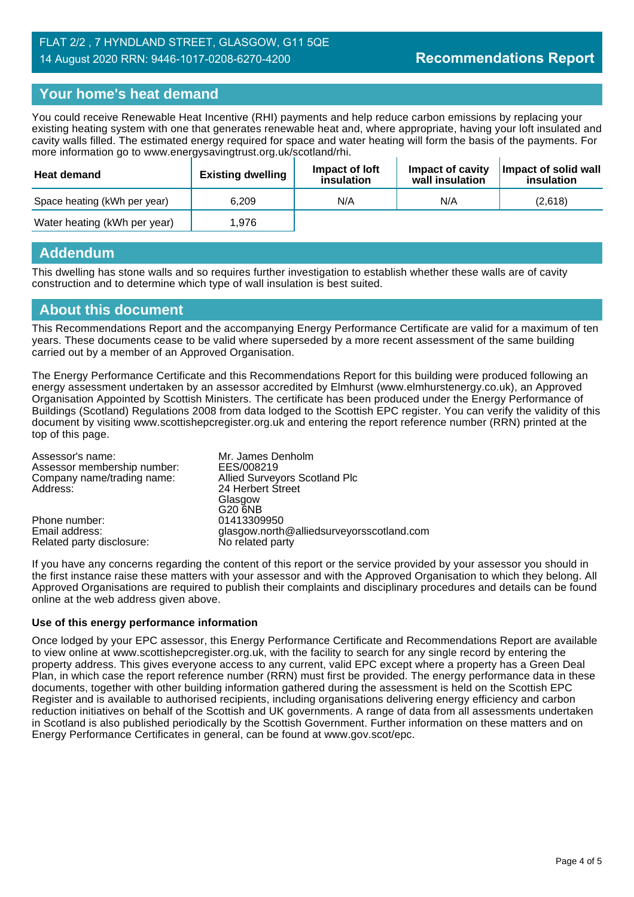# **Your home's heat demand**

You could receive Renewable Heat Incentive (RHI) payments and help reduce carbon emissions by replacing your existing heating system with one that generates renewable heat and, where appropriate, having your loft insulated and cavity walls filled. The estimated energy required for space and water heating will form the basis of the payments. For more information go to www.energysavingtrust.org.uk/scotland/rhi.

| <b>Heat demand</b>           | <b>Existing dwelling</b> | Impact of Joft<br>insulation | Impact of cavity<br>wall insulation | Impact of solid wall<br>insulation |
|------------------------------|--------------------------|------------------------------|-------------------------------------|------------------------------------|
| Space heating (kWh per year) | 6.209                    | N/A                          | N/A                                 | (2.618)                            |
| Water heating (kWh per year) | 1.976                    |                              |                                     |                                    |

# **Addendum**

This dwelling has stone walls and so requires further investigation to establish whether these walls are of cavity construction and to determine which type of wall insulation is best suited.

### **About this document**

This Recommendations Report and the accompanying Energy Performance Certificate are valid for a maximum of ten years. These documents cease to be valid where superseded by a more recent assessment of the same building carried out by a member of an Approved Organisation.

The Energy Performance Certificate and this Recommendations Report for this building were produced following an energy assessment undertaken by an assessor accredited by Elmhurst (www.elmhurstenergy.co.uk), an Approved Organisation Appointed by Scottish Ministers. The certificate has been produced under the Energy Performance of Buildings (Scotland) Regulations 2008 from data lodged to the Scottish EPC register. You can verify the validity of this document by visiting www.scottishepcregister.org.uk and entering the report reference number (RRN) printed at the top of this page.

| Assessor's name:<br>Assessor membership number: | Mr. James Denholm<br>EES/008219           |
|-------------------------------------------------|-------------------------------------------|
| Company name/trading name:                      | Allied Surveyors Scotland Plc             |
| Address:                                        | 24 Herbert Street                         |
|                                                 | Glasgow                                   |
|                                                 | G20 6NB                                   |
| Phone number:                                   | 01413309950                               |
| Email address:                                  | glasgow.north@alliedsurveyorsscotland.com |
| Related party disclosure:                       | No related party                          |

If you have any concerns regarding the content of this report or the service provided by your assessor you should in the first instance raise these matters with your assessor and with the Approved Organisation to which they belong. All Approved Organisations are required to publish their complaints and disciplinary procedures and details can be found online at the web address given above.

### **Use of this energy performance information**

Once lodged by your EPC assessor, this Energy Performance Certificate and Recommendations Report are available to view online at www.scottishepcregister.org.uk, with the facility to search for any single record by entering the property address. This gives everyone access to any current, valid EPC except where a property has a Green Deal Plan, in which case the report reference number (RRN) must first be provided. The energy performance data in these documents, together with other building information gathered during the assessment is held on the Scottish EPC Register and is available to authorised recipients, including organisations delivering energy efficiency and carbon reduction initiatives on behalf of the Scottish and UK governments. A range of data from all assessments undertaken in Scotland is also published periodically by the Scottish Government. Further information on these matters and on Energy Performance Certificates in general, can be found at www.gov.scot/epc.